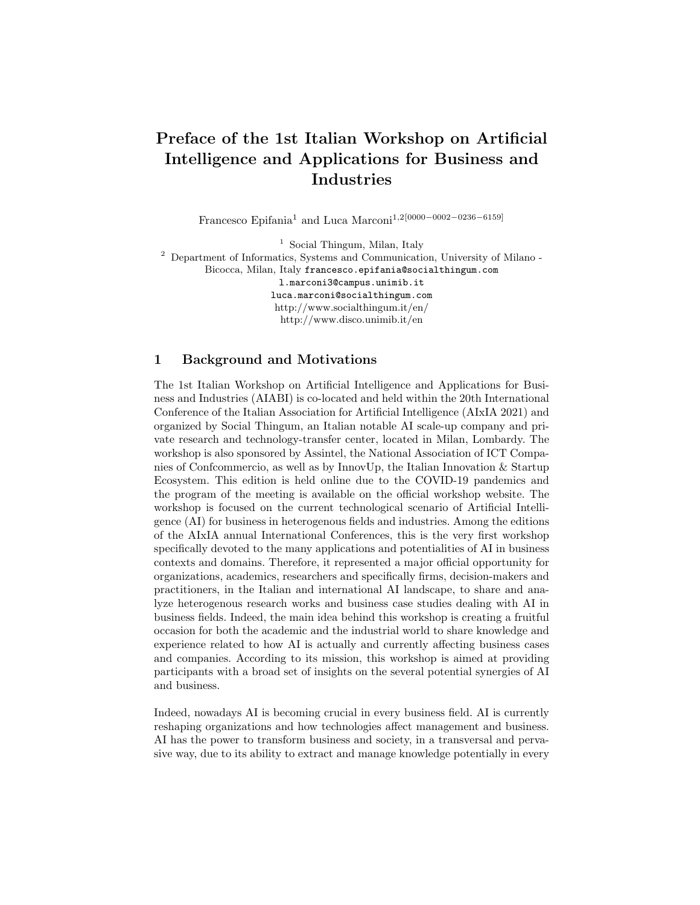# Preface of the 1st Italian Workshop on Artificial Intelligence and Applications for Business and Industries

Francesco Epifania<sup>1</sup> and Luca Marconi1,2[0000−0002−0236−6159]

<sup>1</sup> Social Thingum, Milan, Italy

<sup>2</sup> Department of Informatics, Systems and Communication, University of Milano - Bicocca, Milan, Italy francesco.epifania@socialthingum.com l.marconi3@campus.unimib.it

> luca.marconi@socialthingum.com http://www.socialthingum.it/en/ http://www.disco.unimib.it/en

## 1 Background and Motivations

The 1st Italian Workshop on Artificial Intelligence and Applications for Business and Industries (AIABI) is co-located and held within the 20th International Conference of the Italian Association for Artificial Intelligence (AIxIA 2021) and organized by Social Thingum, an Italian notable AI scale-up company and private research and technology-transfer center, located in Milan, Lombardy. The workshop is also sponsored by Assintel, the National Association of ICT Companies of Confrommercio, as well as by InnovUp, the Italian Innovation  $&$  Startup Ecosystem. This edition is held online due to the COVID-19 pandemics and the program of the meeting is available on the official workshop website. The workshop is focused on the current technological scenario of Artificial Intelligence (AI) for business in heterogenous fields and industries. Among the editions of the AIxIA annual International Conferences, this is the very first workshop specifically devoted to the many applications and potentialities of AI in business contexts and domains. Therefore, it represented a major official opportunity for organizations, academics, researchers and specifically firms, decision-makers and practitioners, in the Italian and international AI landscape, to share and analyze heterogenous research works and business case studies dealing with AI in business fields. Indeed, the main idea behind this workshop is creating a fruitful occasion for both the academic and the industrial world to share knowledge and experience related to how AI is actually and currently affecting business cases and companies. According to its mission, this workshop is aimed at providing participants with a broad set of insights on the several potential synergies of AI and business.

Indeed, nowadays AI is becoming crucial in every business field. AI is currently reshaping organizations and how technologies affect management and business. AI has the power to transform business and society, in a transversal and pervasive way, due to its ability to extract and manage knowledge potentially in every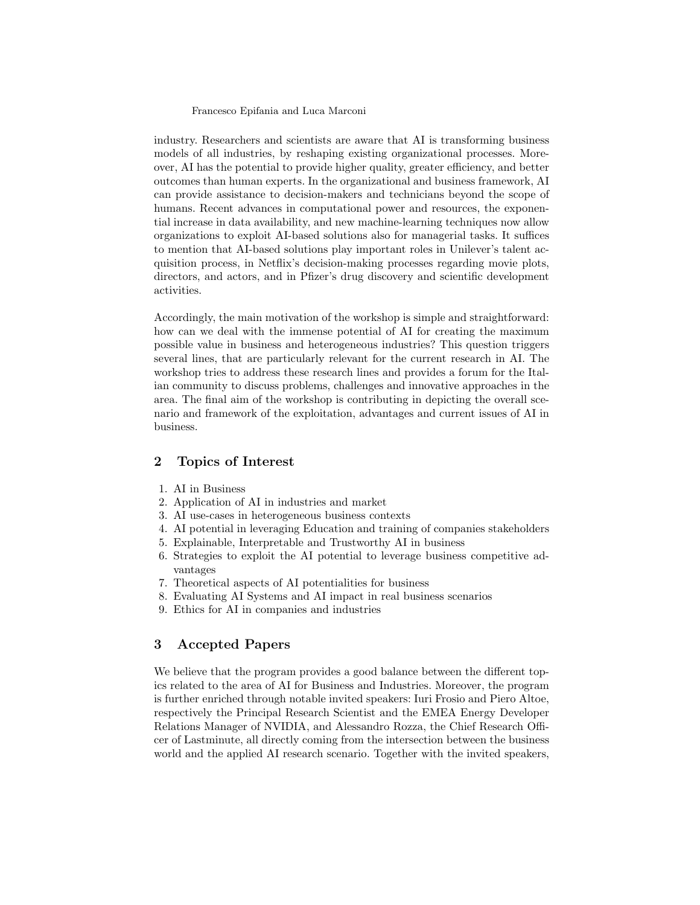#### Francesco Epifania and Luca Marconi

industry. Researchers and scientists are aware that AI is transforming business models of all industries, by reshaping existing organizational processes. Moreover, AI has the potential to provide higher quality, greater efficiency, and better outcomes than human experts. In the organizational and business framework, AI can provide assistance to decision-makers and technicians beyond the scope of humans. Recent advances in computational power and resources, the exponential increase in data availability, and new machine-learning techniques now allow organizations to exploit AI-based solutions also for managerial tasks. It suffices to mention that AI-based solutions play important roles in Unilever's talent acquisition process, in Netflix's decision-making processes regarding movie plots, directors, and actors, and in Pfizer's drug discovery and scientific development activities.

Accordingly, the main motivation of the workshop is simple and straightforward: how can we deal with the immense potential of AI for creating the maximum possible value in business and heterogeneous industries? This question triggers several lines, that are particularly relevant for the current research in AI. The workshop tries to address these research lines and provides a forum for the Italian community to discuss problems, challenges and innovative approaches in the area. The final aim of the workshop is contributing in depicting the overall scenario and framework of the exploitation, advantages and current issues of AI in business.

## 2 Topics of Interest

- 1. AI in Business
- 2. Application of AI in industries and market
- 3. AI use-cases in heterogeneous business contexts
- 4. AI potential in leveraging Education and training of companies stakeholders
- 5. Explainable, Interpretable and Trustworthy AI in business
- 6. Strategies to exploit the AI potential to leverage business competitive advantages
- 7. Theoretical aspects of AI potentialities for business
- 8. Evaluating AI Systems and AI impact in real business scenarios
- 9. Ethics for AI in companies and industries

## 3 Accepted Papers

We believe that the program provides a good balance between the different topics related to the area of AI for Business and Industries. Moreover, the program is further enriched through notable invited speakers: Iuri Frosio and Piero Altoe, respectively the Principal Research Scientist and the EMEA Energy Developer Relations Manager of NVIDIA, and Alessandro Rozza, the Chief Research Officer of Lastminute, all directly coming from the intersection between the business world and the applied AI research scenario. Together with the invited speakers,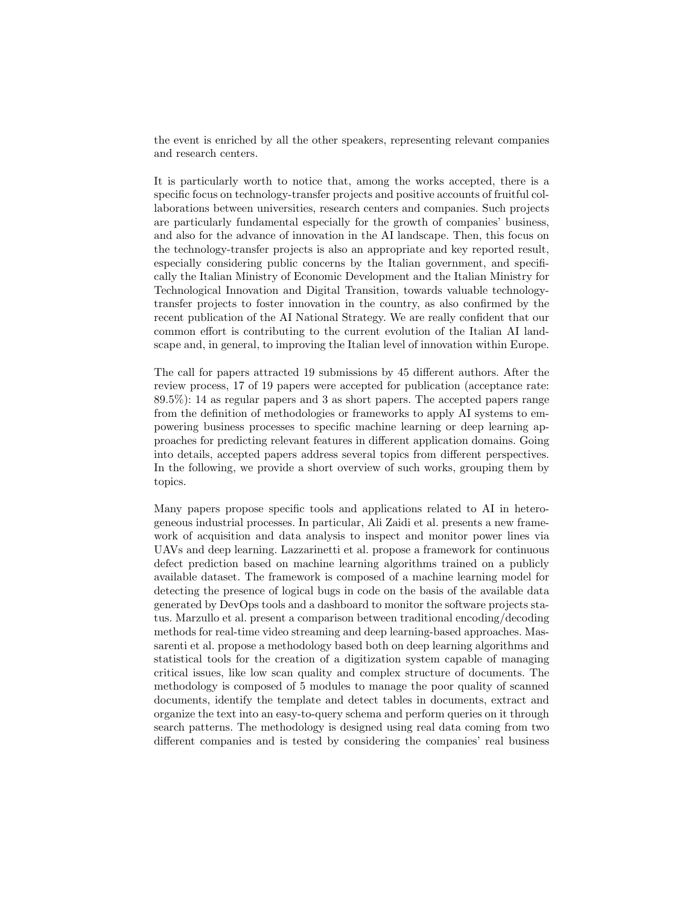the event is enriched by all the other speakers, representing relevant companies and research centers.

It is particularly worth to notice that, among the works accepted, there is a specific focus on technology-transfer projects and positive accounts of fruitful collaborations between universities, research centers and companies. Such projects are particularly fundamental especially for the growth of companies' business, and also for the advance of innovation in the AI landscape. Then, this focus on the technology-transfer projects is also an appropriate and key reported result, especially considering public concerns by the Italian government, and specifically the Italian Ministry of Economic Development and the Italian Ministry for Technological Innovation and Digital Transition, towards valuable technologytransfer projects to foster innovation in the country, as also confirmed by the recent publication of the AI National Strategy. We are really confident that our common effort is contributing to the current evolution of the Italian AI landscape and, in general, to improving the Italian level of innovation within Europe.

The call for papers attracted 19 submissions by 45 different authors. After the review process, 17 of 19 papers were accepted for publication (acceptance rate: 89.5%): 14 as regular papers and 3 as short papers. The accepted papers range from the definition of methodologies or frameworks to apply AI systems to empowering business processes to specific machine learning or deep learning approaches for predicting relevant features in different application domains. Going into details, accepted papers address several topics from different perspectives. In the following, we provide a short overview of such works, grouping them by topics.

Many papers propose specific tools and applications related to AI in heterogeneous industrial processes. In particular, Ali Zaidi et al. presents a new framework of acquisition and data analysis to inspect and monitor power lines via UAVs and deep learning. Lazzarinetti et al. propose a framework for continuous defect prediction based on machine learning algorithms trained on a publicly available dataset. The framework is composed of a machine learning model for detecting the presence of logical bugs in code on the basis of the available data generated by DevOps tools and a dashboard to monitor the software projects status. Marzullo et al. present a comparison between traditional encoding/decoding methods for real-time video streaming and deep learning-based approaches. Massarenti et al. propose a methodology based both on deep learning algorithms and statistical tools for the creation of a digitization system capable of managing critical issues, like low scan quality and complex structure of documents. The methodology is composed of 5 modules to manage the poor quality of scanned documents, identify the template and detect tables in documents, extract and organize the text into an easy-to-query schema and perform queries on it through search patterns. The methodology is designed using real data coming from two different companies and is tested by considering the companies' real business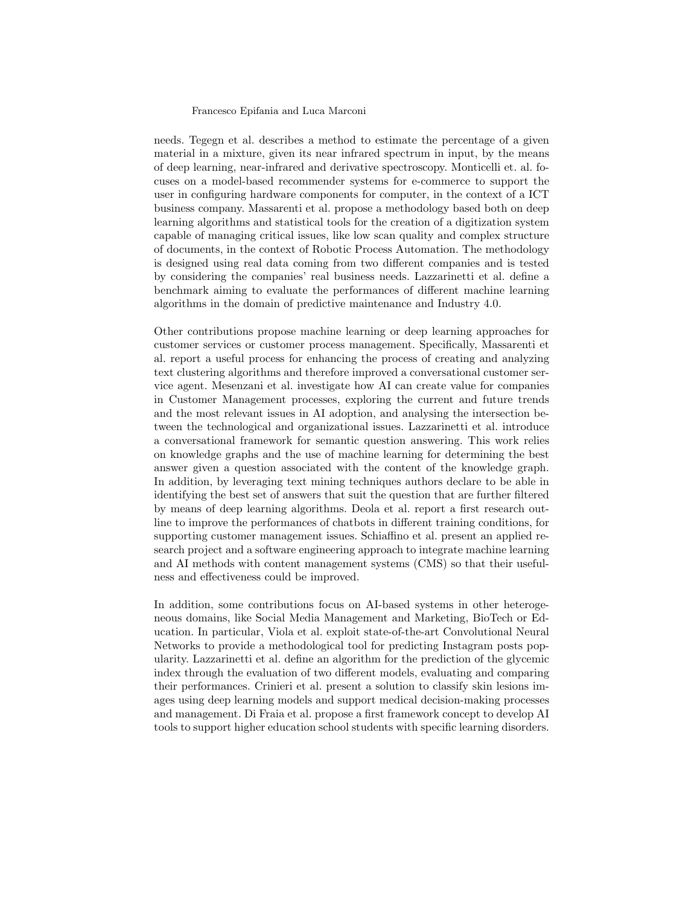#### Francesco Epifania and Luca Marconi

needs. Tegegn et al. describes a method to estimate the percentage of a given material in a mixture, given its near infrared spectrum in input, by the means of deep learning, near-infrared and derivative spectroscopy. Monticelli et. al. focuses on a model-based recommender systems for e-commerce to support the user in configuring hardware components for computer, in the context of a ICT business company. Massarenti et al. propose a methodology based both on deep learning algorithms and statistical tools for the creation of a digitization system capable of managing critical issues, like low scan quality and complex structure of documents, in the context of Robotic Process Automation. The methodology is designed using real data coming from two different companies and is tested by considering the companies' real business needs. Lazzarinetti et al. define a benchmark aiming to evaluate the performances of different machine learning algorithms in the domain of predictive maintenance and Industry 4.0.

Other contributions propose machine learning or deep learning approaches for customer services or customer process management. Specifically, Massarenti et al. report a useful process for enhancing the process of creating and analyzing text clustering algorithms and therefore improved a conversational customer service agent. Mesenzani et al. investigate how AI can create value for companies in Customer Management processes, exploring the current and future trends and the most relevant issues in AI adoption, and analysing the intersection between the technological and organizational issues. Lazzarinetti et al. introduce a conversational framework for semantic question answering. This work relies on knowledge graphs and the use of machine learning for determining the best answer given a question associated with the content of the knowledge graph. In addition, by leveraging text mining techniques authors declare to be able in identifying the best set of answers that suit the question that are further filtered by means of deep learning algorithms. Deola et al. report a first research outline to improve the performances of chatbots in different training conditions, for supporting customer management issues. Schiaffino et al. present an applied research project and a software engineering approach to integrate machine learning and AI methods with content management systems (CMS) so that their usefulness and effectiveness could be improved.

In addition, some contributions focus on AI-based systems in other heterogeneous domains, like Social Media Management and Marketing, BioTech or Education. In particular, Viola et al. exploit state-of-the-art Convolutional Neural Networks to provide a methodological tool for predicting Instagram posts popularity. Lazzarinetti et al. define an algorithm for the prediction of the glycemic index through the evaluation of two different models, evaluating and comparing their performances. Crinieri et al. present a solution to classify skin lesions images using deep learning models and support medical decision-making processes and management. Di Fraia et al. propose a first framework concept to develop AI tools to support higher education school students with specific learning disorders.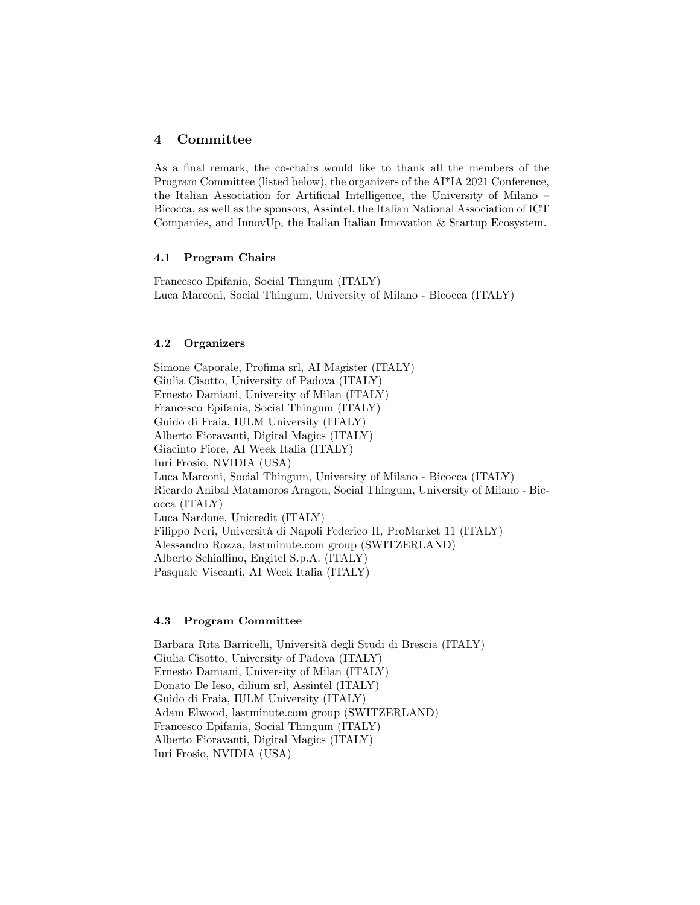## 4 Committee

As a final remark, the co-chairs would like to thank all the members of the Program Committee (listed below), the organizers of the AI\*IA 2021 Conference, the Italian Association for Artificial Intelligence, the University of Milano – Bicocca, as well as the sponsors, Assintel, the Italian National Association of ICT Companies, and InnovUp, the Italian Italian Innovation & Startup Ecosystem.

## 4.1 Program Chairs

Francesco Epifania, Social Thingum (ITALY) Luca Marconi, Social Thingum, University of Milano - Bicocca (ITALY)

#### 4.2 Organizers

Simone Caporale, Profima srl, AI Magister (ITALY) Giulia Cisotto, University of Padova (ITALY) Ernesto Damiani, University of Milan (ITALY) Francesco Epifania, Social Thingum (ITALY) Guido di Fraia, IULM University (ITALY) Alberto Fioravanti, Digital Magics (ITALY) Giacinto Fiore, AI Week Italia (ITALY) Iuri Frosio, NVIDIA (USA) Luca Marconi, Social Thingum, University of Milano - Bicocca (ITALY) Ricardo Anibal Matamoros Aragon, Social Thingum, University of Milano - Bicocca (ITALY) Luca Nardone, Unicredit (ITALY) Filippo Neri, Universit`a di Napoli Federico II, ProMarket 11 (ITALY) Alessandro Rozza, lastminute.com group (SWITZERLAND) Alberto Schiaffino, Engitel S.p.A. (ITALY) Pasquale Viscanti, AI Week Italia (ITALY)

### 4.3 Program Committee

Barbara Rita Barricelli, Università degli Studi di Brescia (ITALY) Giulia Cisotto, University of Padova (ITALY) Ernesto Damiani, University of Milan (ITALY) Donato De Ieso, dilium srl, Assintel (ITALY) Guido di Fraia, IULM University (ITALY) Adam Elwood, lastminute.com group (SWITZERLAND) Francesco Epifania, Social Thingum (ITALY) Alberto Fioravanti, Digital Magics (ITALY) Iuri Frosio, NVIDIA (USA)